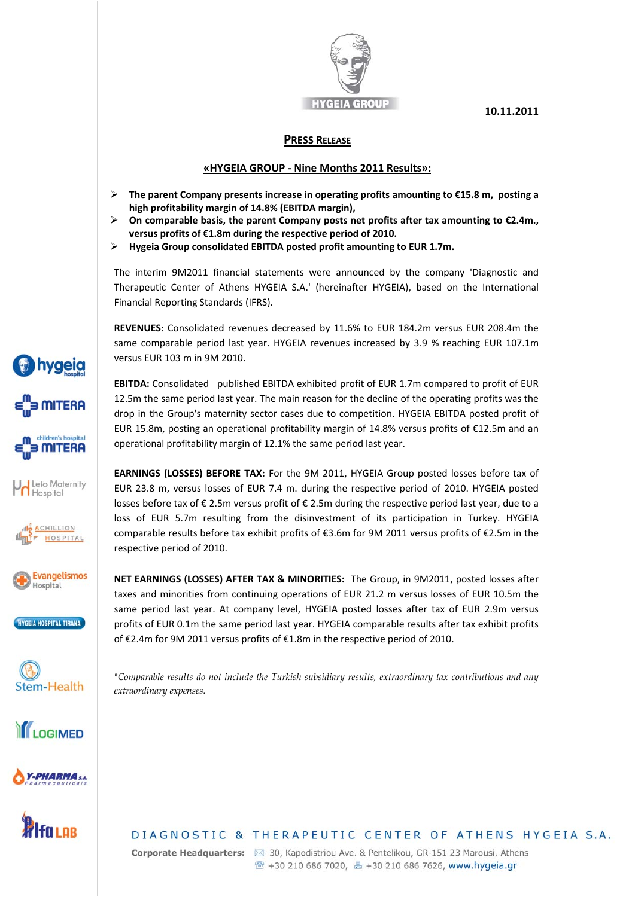

**10.11.2011**

## **PRESS RELEASE**

## **«HYGEIA GROUP ‐ Nine Months 2011 Results»:**

- **The parent Company presents increase in operating profits amounting to €15.8 m, posting a high profitability margin of 14.8% (EBITDA margin),**
- **On comparable basis, the parent Company posts net profits after tax amounting to €2.4m., versus profits of €1.8m during the respective period of 2010.**
- **Hygeia Group consolidated EBITDA posted profit amounting to EUR 1.7m.**

The interim 9M2011 financial statements were announced by the company 'Diagnostic and Therapeutic Center of Athens HYGEIA S.A.' (hereinafter HYGEIA), based on the International Financial Reporting Standards (IFRS).

**REVENUES**: Consolidated revenues decreased by 11.6% to EUR 184.2m versus EUR 208.4m the same comparable period last year. HYGEIA revenues increased by 3.9 % reaching EUR 107.1m versus EUR 103 m in 9M 2010.

**EBITDA:** Consolidated published EBITDA exhibited profit of EUR 1.7m compared to profit of EUR 12.5m the same period last year. The main reason for the decline of the operating profits was the drop in the Group's maternity sector cases due to competition. HYGEIA EBITDA posted profit of EUR 15.8m, posting an operational profitability margin of 14.8% versus profits of €12.5m and an operational profitability margin of 12.1% the same period last year.

**EARNINGS (LOSSES) BEFORE TAX:** For the 9M 2011, HYGEIA Group posted losses before tax of EUR 23.8 m, versus losses of EUR 7.4 m. during the respective period of 2010. HYGEIA posted losses before tax of € 2.5m versus profit of € 2.5m during the respective period last year, due to a loss of EUR 5.7m resulting from the disinvestment of its participation in Turkey. HYGEIA comparable results before tax exhibit profits of €3.6m for 9M 2011 versus profits of €2.5m in the respective period of 2010.

**NET EARNINGS (LOSSES) AFTER TAX & MINORITIES:** The Group, in 9M2011, posted losses after taxes and minorities from continuing operations of EUR 21.2 m versus losses of EUR 10.5m the same period last year. At company level, HYGEIA posted losses after tax of EUR 2.9m versus profits of EUR 0.1m the same period last year. HYGEIA comparable results after tax exhibit profits of €2.4m for 9M 2011 versus profits of €1.8m in the respective period of 2010.

Stem-Health

LOGIMED

**HYGEIA HOSPITAL TIRANA** 

**hygeia** 

**B MITERA** 

**MITERA** 

Leto Maternity Hospital

> ACHILLION HOSPITAL

**Evangelismos** Hospital

> *\*Comparable results do not include the Turkish subsidiary results, extraordinary tax contributions and any extraordinary expenses.*



-PHARMA S.A.

DIAGNOSTIC & THERAPEUTIC CENTER OF ATHENS HYGEIA S.A.

Corporate Headquarters: ⊠ 30, Kapodistriou Ave. & Pentelikou, GR-151 23 Marousi, Athens <sup>2</sup> +30 210 686 7020, 4 +30 210 686 7626, www.hygeia.gr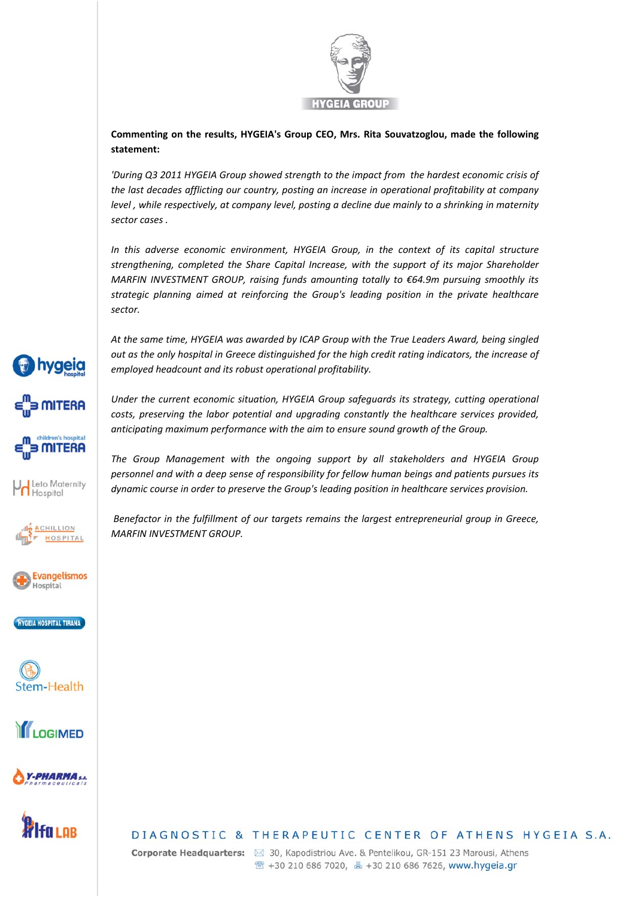

**Commenting on the results, HYGEIA's Group CEO, Mrs. Rita Souvatzoglou, made the following statement:** 

*'During Q3 2011 HYGEIA Group showed strength to the impact from the hardest economic crisis of the last decades afflicting our country, posting an increase in operational profitability at company level , while respectively, at company level, posting a decline due mainly to a shrinking in maternity sector cases .*

*In this adverse economic environment, HYGEIA Group, in the context of its capital structure strengthening, completed the Share Capital Increase, with the support of its major Shareholder MARFIN INVESTMENT GROUP, raising funds amounting totally to €64.9m pursuing smoothly its strategic planning aimed at reinforcing the Group's leading position in the private healthcare sector.* 

*At the same time, HYGEIA was awarded by ICAP Group with the True Leaders Award, being singled out as the only hospital in Greece distinguished for the high credit rating indicators, the increase of employed headcount and its robust operational profitability.* 

*Under the current economic situation, HYGEIA Group safeguards its strategy, cutting operational costs, preserving the labor potential and upgrading constantly the healthcare services provided, anticipating maximum performance with the aim to ensure sound growth of the Group.*

*The Group Management with the ongoing support by all stakeholders and HYGEIA Group personnel and with a deep sense of responsibility for fellow human beings and patients pursues its dynamic course in order to preserve the Group's leading position in healthcare services provision.*

*Benefactor in the fulfillment of our targets remains the largest entrepreneurial group in Greece, MARFIN INVESTMENT GROUP.*



Corporate Headquarters: ⊠ 30, Kapodistriou Ave. & Pentelikou, GR-151 23 Marousi, Athens 



**hygeia**